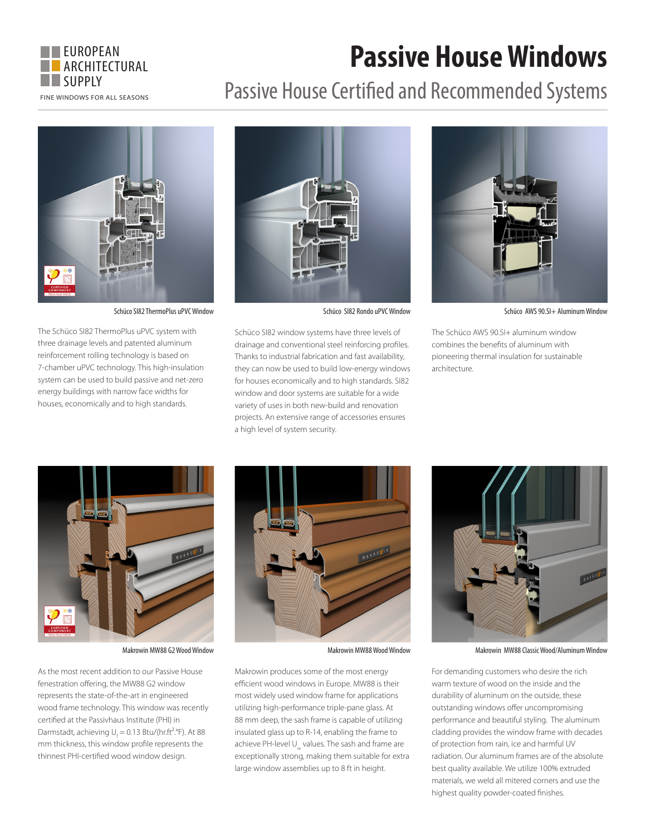

## **Passive House Windows**

## Passive House Certified and Recommended Systems



The Schüco SI82 ThermoPlus uPVC system with three drainage levels and patented aluminum reinforcement rolling technology is based on 7-chamber uPVC technology. This high-insulation system can be used to build passive and net-zero energy buildings with narrow face widths for houses, economically and to high standards.



Schüco SI82 window systems have three levels of drainage and conventional steel reinforcing profiles. Thanks to industrial fabrication and fast availability, they can now be used to build low-energy windows for houses economically and to high standards. SI82 window and door systems are suitable for a wide variety of uses in both new-build and renovation projects. An extensive range of accessories ensures

a high level of system security.



Schüco SI82 ThermoPlus uPVC Window Schüco SI82 Rondo uPVC Window Schüco AWS 90.SI+ Aluminum Window

The Schüco AWS 90.SI+ aluminum window combines the benefits of aluminum with pioneering thermal insulation for sustainable architecture.



As the most recent addition to our Passive House fenestration offering, the MW88 G2 window represents the state-of-the-art in engineered wood frame technology. This window was recently certified at the Passivhaus Institute (PHI) in Darmstadt, achieving  $U_f = 0.13 \text{ Btu}/(\text{hr.fr}^2 \text{°F})$ . At 88 mm thickness, this window profile represents the thinnest PHI-certified wood window design.



Makrowin produces some of the most energy efficient wood windows in Europe. MW88 is their most widely used window frame for applications utilizing high-performance triple-pane glass. At 88 mm deep, the sash frame is capable of utilizing insulated glass up to R-14, enabling the frame to achieve PH-level Uw values. The sash and frame are exceptionally strong, making them suitable for extra large window assemblies up to 8 ft in height.



Makrowin MW88 G2 Wood Window Makrowin MW88 Wood Window Makrowin MW88 Classic Wood/Aluminum Window

For demanding customers who desire the rich warm texture of wood on the inside and the durability of aluminum on the outside, these outstanding windows offer uncompromising performance and beautiful styling. The aluminum cladding provides the window frame with decades of protection from rain, ice and harmful UV radiation. Our aluminum frames are of the absolute best quality available. We utilize 100% extruded materials, we weld all mitered corners and use the highest quality powder-coated finishes.